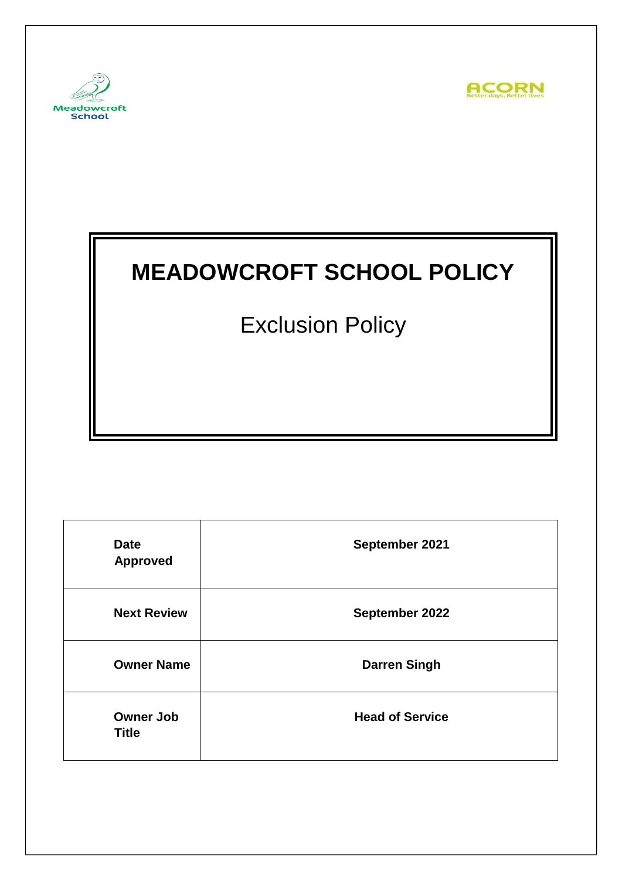



# **MEADOWCROFT SCHOOL POLICY**

Exclusion Policy

| <b>Date</b><br><b>Approved</b>   | September 2021         |
|----------------------------------|------------------------|
| <b>Next Review</b>               | September 2022         |
| <b>Owner Name</b>                | <b>Darren Singh</b>    |
| <b>Owner Job</b><br><b>Title</b> | <b>Head of Service</b> |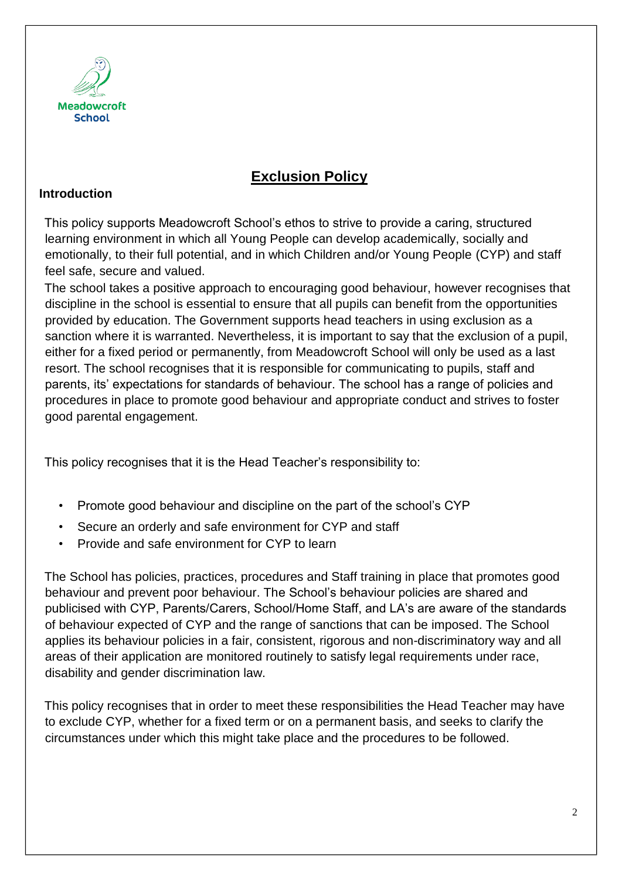

# **Exclusion Policy**

#### **Introduction**

This policy supports Meadowcroft School's ethos to strive to provide a caring, structured learning environment in which all Young People can develop academically, socially and emotionally, to their full potential, and in which Children and/or Young People (CYP) and staff feel safe, secure and valued.

The school takes a positive approach to encouraging good behaviour, however recognises that discipline in the school is essential to ensure that all pupils can benefit from the opportunities provided by education. The Government supports head teachers in using exclusion as a sanction where it is warranted. Nevertheless, it is important to say that the exclusion of a pupil, either for a fixed period or permanently, from Meadowcroft School will only be used as a last resort. The school recognises that it is responsible for communicating to pupils, staff and parents, its' expectations for standards of behaviour. The school has a range of policies and procedures in place to promote good behaviour and appropriate conduct and strives to foster good parental engagement.

This policy recognises that it is the Head Teacher's responsibility to:

- Promote good behaviour and discipline on the part of the school's CYP
- Secure an orderly and safe environment for CYP and staff
- Provide and safe environment for CYP to learn

The School has policies, practices, procedures and Staff training in place that promotes good behaviour and prevent poor behaviour. The School's behaviour policies are shared and publicised with CYP, Parents/Carers, School/Home Staff, and LA's are aware of the standards of behaviour expected of CYP and the range of sanctions that can be imposed. The School applies its behaviour policies in a fair, consistent, rigorous and non-discriminatory way and all areas of their application are monitored routinely to satisfy legal requirements under race, disability and gender discrimination law.

This policy recognises that in order to meet these responsibilities the Head Teacher may have to exclude CYP, whether for a fixed term or on a permanent basis, and seeks to clarify the circumstances under which this might take place and the procedures to be followed.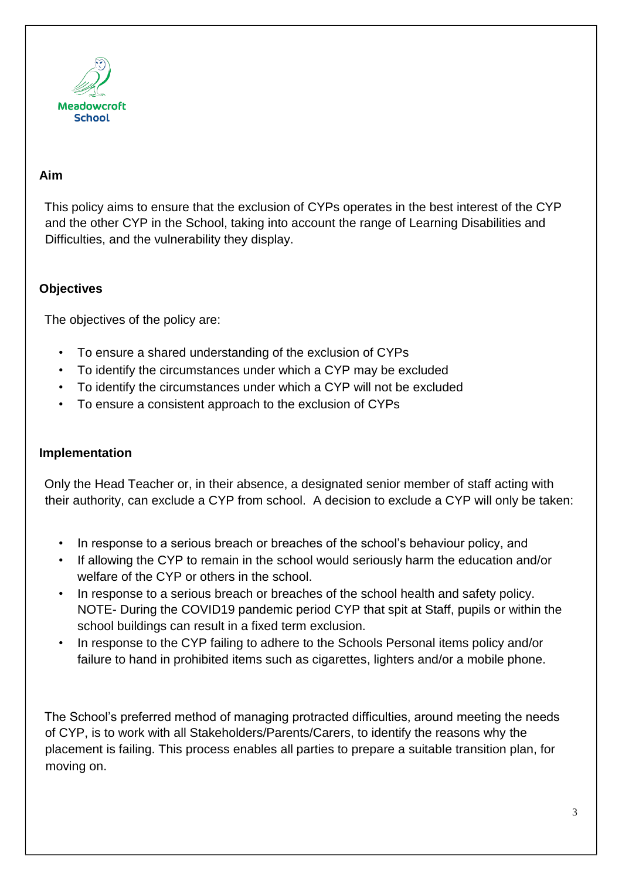

#### **Aim**

This policy aims to ensure that the exclusion of CYPs operates in the best interest of the CYP and the other CYP in the School, taking into account the range of Learning Disabilities and Difficulties, and the vulnerability they display.

#### **Objectives**

The objectives of the policy are:

- To ensure a shared understanding of the exclusion of CYPs
- To identify the circumstances under which a CYP may be excluded
- To identify the circumstances under which a CYP will not be excluded
- To ensure a consistent approach to the exclusion of CYPs

#### **Implementation**

Only the Head Teacher or, in their absence, a designated senior member of staff acting with their authority, can exclude a CYP from school. A decision to exclude a CYP will only be taken:

- In response to a serious breach or breaches of the school's behaviour policy, and
- If allowing the CYP to remain in the school would seriously harm the education and/or welfare of the CYP or others in the school.
- In response to a serious breach or breaches of the school health and safety policy. NOTE- During the COVID19 pandemic period CYP that spit at Staff, pupils or within the school buildings can result in a fixed term exclusion.
- In response to the CYP failing to adhere to the Schools Personal items policy and/or failure to hand in prohibited items such as cigarettes, lighters and/or a mobile phone.

The School's preferred method of managing protracted difficulties, around meeting the needs of CYP, is to work with all Stakeholders/Parents/Carers, to identify the reasons why the placement is failing. This process enables all parties to prepare a suitable transition plan, for moving on.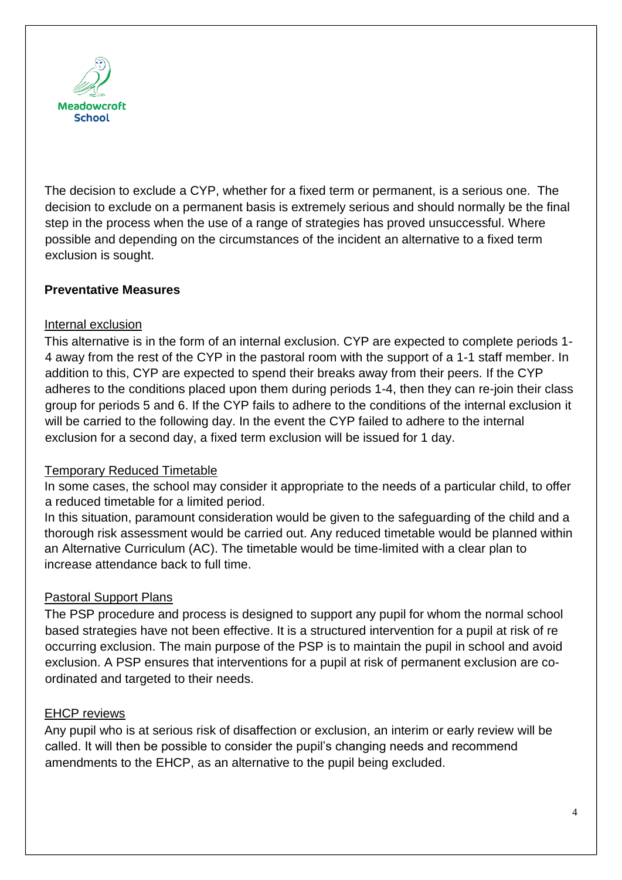

The decision to exclude a CYP, whether for a fixed term or permanent, is a serious one. The decision to exclude on a permanent basis is extremely serious and should normally be the final step in the process when the use of a range of strategies has proved unsuccessful. Where possible and depending on the circumstances of the incident an alternative to a fixed term exclusion is sought.

#### **Preventative Measures**

#### Internal exclusion

This alternative is in the form of an internal exclusion. CYP are expected to complete periods 1- 4 away from the rest of the CYP in the pastoral room with the support of a 1-1 staff member. In addition to this, CYP are expected to spend their breaks away from their peers. If the CYP adheres to the conditions placed upon them during periods 1-4, then they can re-join their class group for periods 5 and 6. If the CYP fails to adhere to the conditions of the internal exclusion it will be carried to the following day. In the event the CYP failed to adhere to the internal exclusion for a second day, a fixed term exclusion will be issued for 1 day.

#### Temporary Reduced Timetable

In some cases, the school may consider it appropriate to the needs of a particular child, to offer a reduced timetable for a limited period.

In this situation, paramount consideration would be given to the safeguarding of the child and a thorough risk assessment would be carried out. Any reduced timetable would be planned within an Alternative Curriculum (AC). The timetable would be time-limited with a clear plan to increase attendance back to full time.

#### Pastoral Support Plans

The PSP procedure and process is designed to support any pupil for whom the normal school based strategies have not been effective. It is a structured intervention for a pupil at risk of re occurring exclusion. The main purpose of the PSP is to maintain the pupil in school and avoid exclusion. A PSP ensures that interventions for a pupil at risk of permanent exclusion are coordinated and targeted to their needs.

#### EHCP reviews

Any pupil who is at serious risk of disaffection or exclusion, an interim or early review will be called. It will then be possible to consider the pupil's changing needs and recommend amendments to the EHCP, as an alternative to the pupil being excluded.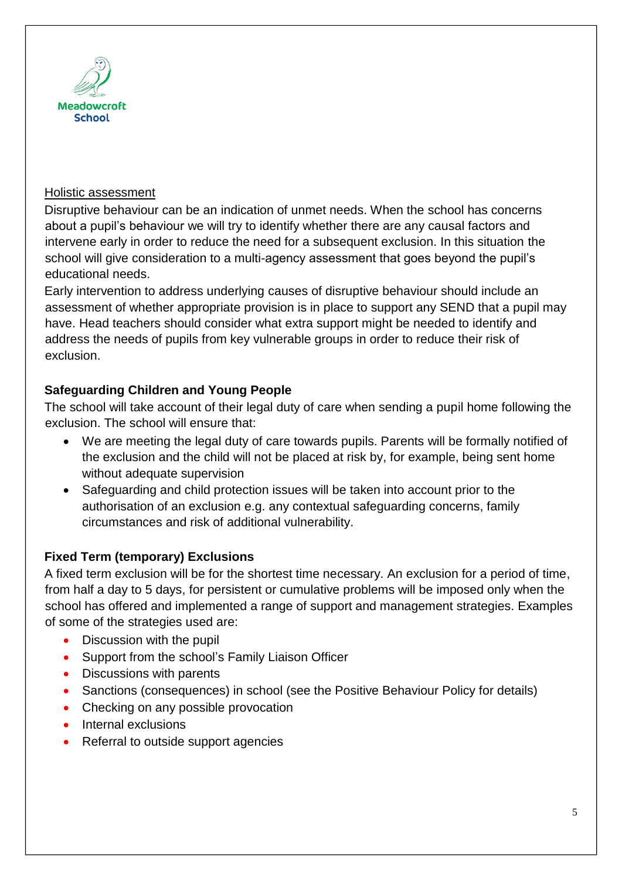

#### Holistic assessment

Disruptive behaviour can be an indication of unmet needs. When the school has concerns about a pupil's behaviour we will try to identify whether there are any causal factors and intervene early in order to reduce the need for a subsequent exclusion. In this situation the school will give consideration to a multi-agency assessment that goes beyond the pupil's educational needs.

Early intervention to address underlying causes of disruptive behaviour should include an assessment of whether appropriate provision is in place to support any SEND that a pupil may have. Head teachers should consider what extra support might be needed to identify and address the needs of pupils from key vulnerable groups in order to reduce their risk of exclusion.

#### **Safeguarding Children and Young People**

The school will take account of their legal duty of care when sending a pupil home following the exclusion. The school will ensure that:

- We are meeting the legal duty of care towards pupils. Parents will be formally notified of the exclusion and the child will not be placed at risk by, for example, being sent home without adequate supervision
- Safeguarding and child protection issues will be taken into account prior to the authorisation of an exclusion e.g. any contextual safeguarding concerns, family circumstances and risk of additional vulnerability.

## **Fixed Term (temporary) Exclusions**

A fixed term exclusion will be for the shortest time necessary. An exclusion for a period of time, from half a day to 5 days, for persistent or cumulative problems will be imposed only when the school has offered and implemented a range of support and management strategies. Examples of some of the strategies used are:

- Discussion with the pupil
- Support from the school's Family Liaison Officer
- Discussions with parents
- Sanctions (consequences) in school (see the Positive Behaviour Policy for details)
- Checking on any possible provocation
- Internal exclusions
- Referral to outside support agencies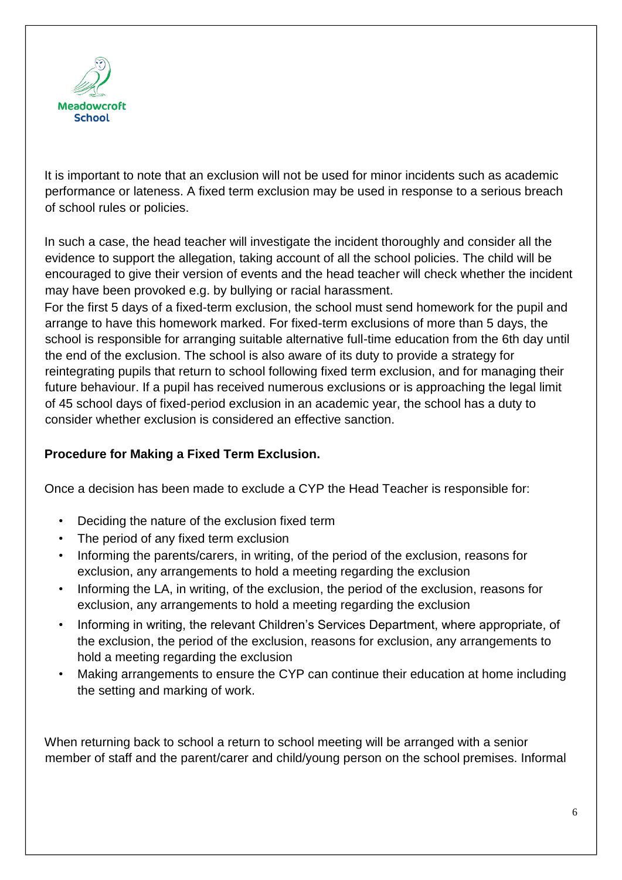

It is important to note that an exclusion will not be used for minor incidents such as academic performance or lateness. A fixed term exclusion may be used in response to a serious breach of school rules or policies.

In such a case, the head teacher will investigate the incident thoroughly and consider all the evidence to support the allegation, taking account of all the school policies. The child will be encouraged to give their version of events and the head teacher will check whether the incident may have been provoked e.g. by bullying or racial harassment.

For the first 5 days of a fixed-term exclusion, the school must send homework for the pupil and arrange to have this homework marked. For fixed-term exclusions of more than 5 days, the school is responsible for arranging suitable alternative full-time education from the 6th day until the end of the exclusion. The school is also aware of its duty to provide a strategy for reintegrating pupils that return to school following fixed term exclusion, and for managing their future behaviour. If a pupil has received numerous exclusions or is approaching the legal limit of 45 school days of fixed-period exclusion in an academic year, the school has a duty to consider whether exclusion is considered an effective sanction.

#### **Procedure for Making a Fixed Term Exclusion.**

Once a decision has been made to exclude a CYP the Head Teacher is responsible for:

- Deciding the nature of the exclusion fixed term
- The period of any fixed term exclusion
- Informing the parents/carers, in writing, of the period of the exclusion, reasons for exclusion, any arrangements to hold a meeting regarding the exclusion
- Informing the LA, in writing, of the exclusion, the period of the exclusion, reasons for exclusion, any arrangements to hold a meeting regarding the exclusion
- Informing in writing, the relevant Children's Services Department, where appropriate, of the exclusion, the period of the exclusion, reasons for exclusion, any arrangements to hold a meeting regarding the exclusion
- Making arrangements to ensure the CYP can continue their education at home including the setting and marking of work.

When returning back to school a return to school meeting will be arranged with a senior member of staff and the parent/carer and child/young person on the school premises. Informal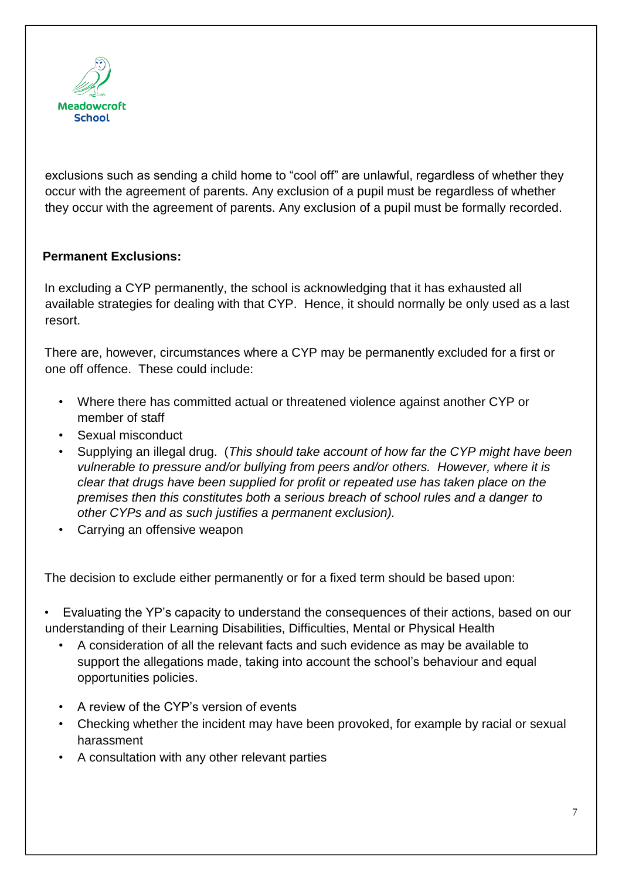

exclusions such as sending a child home to "cool off" are unlawful, regardless of whether they occur with the agreement of parents. Any exclusion of a pupil must be regardless of whether they occur with the agreement of parents. Any exclusion of a pupil must be formally recorded.

## **Permanent Exclusions:**

In excluding a CYP permanently, the school is acknowledging that it has exhausted all available strategies for dealing with that CYP. Hence, it should normally be only used as a last resort.

There are, however, circumstances where a CYP may be permanently excluded for a first or one off offence. These could include:

- Where there has committed actual or threatened violence against another CYP or member of staff
- Sexual misconduct
- Supplying an illegal drug. (*This should take account of how far the CYP might have been vulnerable to pressure and/or bullying from peers and/or others. However, where it is clear that drugs have been supplied for profit or repeated use has taken place on the premises then this constitutes both a serious breach of school rules and a danger to other CYPs and as such justifies a permanent exclusion).*
- Carrying an offensive weapon

The decision to exclude either permanently or for a fixed term should be based upon:

- Evaluating the YP's capacity to understand the consequences of their actions, based on our understanding of their Learning Disabilities, Difficulties, Mental or Physical Health
	- A consideration of all the relevant facts and such evidence as may be available to support the allegations made, taking into account the school's behaviour and equal opportunities policies.
	- A review of the CYP's version of events
	- Checking whether the incident may have been provoked, for example by racial or sexual harassment
	- A consultation with any other relevant parties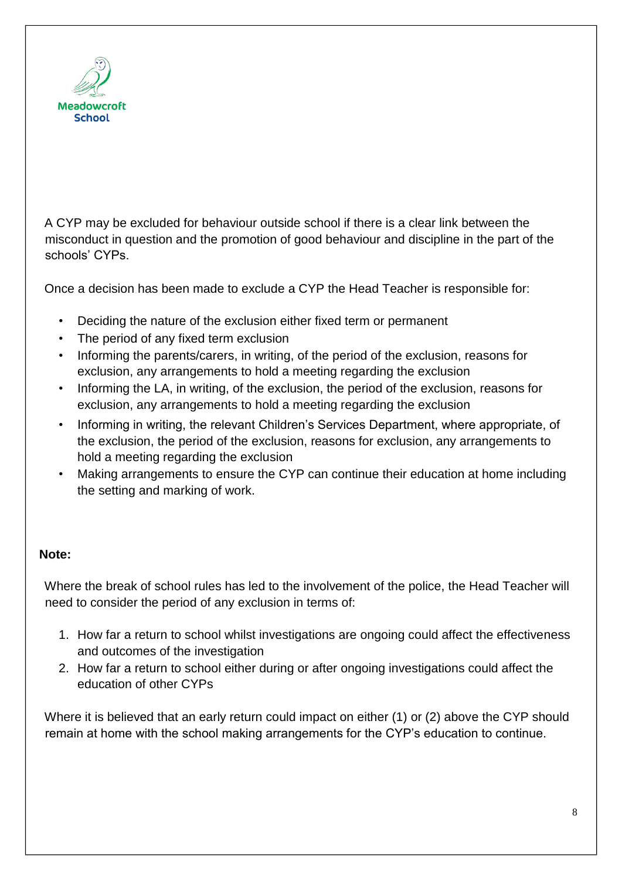

A CYP may be excluded for behaviour outside school if there is a clear link between the misconduct in question and the promotion of good behaviour and discipline in the part of the schools' CYPs.

Once a decision has been made to exclude a CYP the Head Teacher is responsible for:

- Deciding the nature of the exclusion either fixed term or permanent
- The period of any fixed term exclusion
- Informing the parents/carers, in writing, of the period of the exclusion, reasons for exclusion, any arrangements to hold a meeting regarding the exclusion
- Informing the LA, in writing, of the exclusion, the period of the exclusion, reasons for exclusion, any arrangements to hold a meeting regarding the exclusion
- Informing in writing, the relevant Children's Services Department, where appropriate, of the exclusion, the period of the exclusion, reasons for exclusion, any arrangements to hold a meeting regarding the exclusion
- Making arrangements to ensure the CYP can continue their education at home including the setting and marking of work.

#### **Note:**

Where the break of school rules has led to the involvement of the police, the Head Teacher will need to consider the period of any exclusion in terms of:

- 1. How far a return to school whilst investigations are ongoing could affect the effectiveness and outcomes of the investigation
- 2. How far a return to school either during or after ongoing investigations could affect the education of other CYPs

Where it is believed that an early return could impact on either (1) or (2) above the CYP should remain at home with the school making arrangements for the CYP's education to continue.